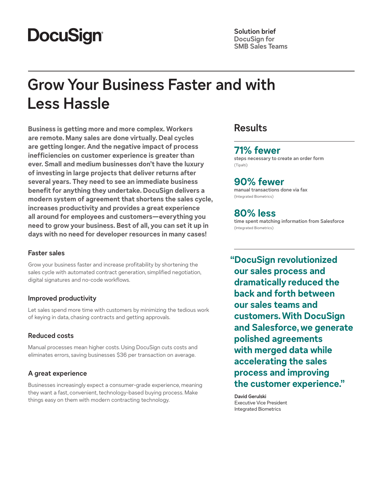# **DocuSign®**

**Solution brief DocuSign for SMB Sales Teams**

# **Grow Your Business Faster and with Less Hassle**

**Business is getting more and more complex. Workers are remote. Many sales are done virtually. Deal cycles are getting longer. And the negative impact of process inefficiencies on customer experience is greater than ever. Small and medium businesses don't have the luxury of investing in large projects that deliver returns after several years. They need to see an immediate business benefit for anything they undertake. DocuSign delivers a modern system of agreement that shortens the sales cycle, increases productivity and provides a great experience all around for employees and customers—everything you need to grow your business. Best of all, you can set it up in days with no need for developer resources in many cases!**

### **Faster sales**

Grow your business faster and increase profitability by shortening the sales cycle with automated contract generation, simplified negotiation, digital signatures and no-code workflows.

## **Improved productivity**

Let sales spend more time with customers by minimizing the tedious work of keying in data, chasing contracts and getting approvals.

## **Reduced costs**

Manual processes mean higher costs. Using DocuSign cuts costs and eliminates errors, saving businesses \$36 per transaction on average.

## **A great experience**

Businesses increasingly expect a consumer-grade experience, meaning they want a fast, convenient, technology-based buying process. Make things easy on them with modern contracting technology.

# **Results**

## **71% fewer**

**steps necessary to create an order form**  (Tipalti)

# **90% fewer**

**manual transactions done via fax**  (Integrated Biometrics)

# **80% less**

**time spent matching information from Salesforce**  (Integrated Biometrics)

**"DocuSign revolutionized our sales process and dramatically reduced the back and forth between our sales teams and customers. With DocuSign and Salesforce, we generate polished agreements with merged data while accelerating the sales process and improving the customer experience."**

**David Gerulski** Executive Vice President Integrated Biometrics